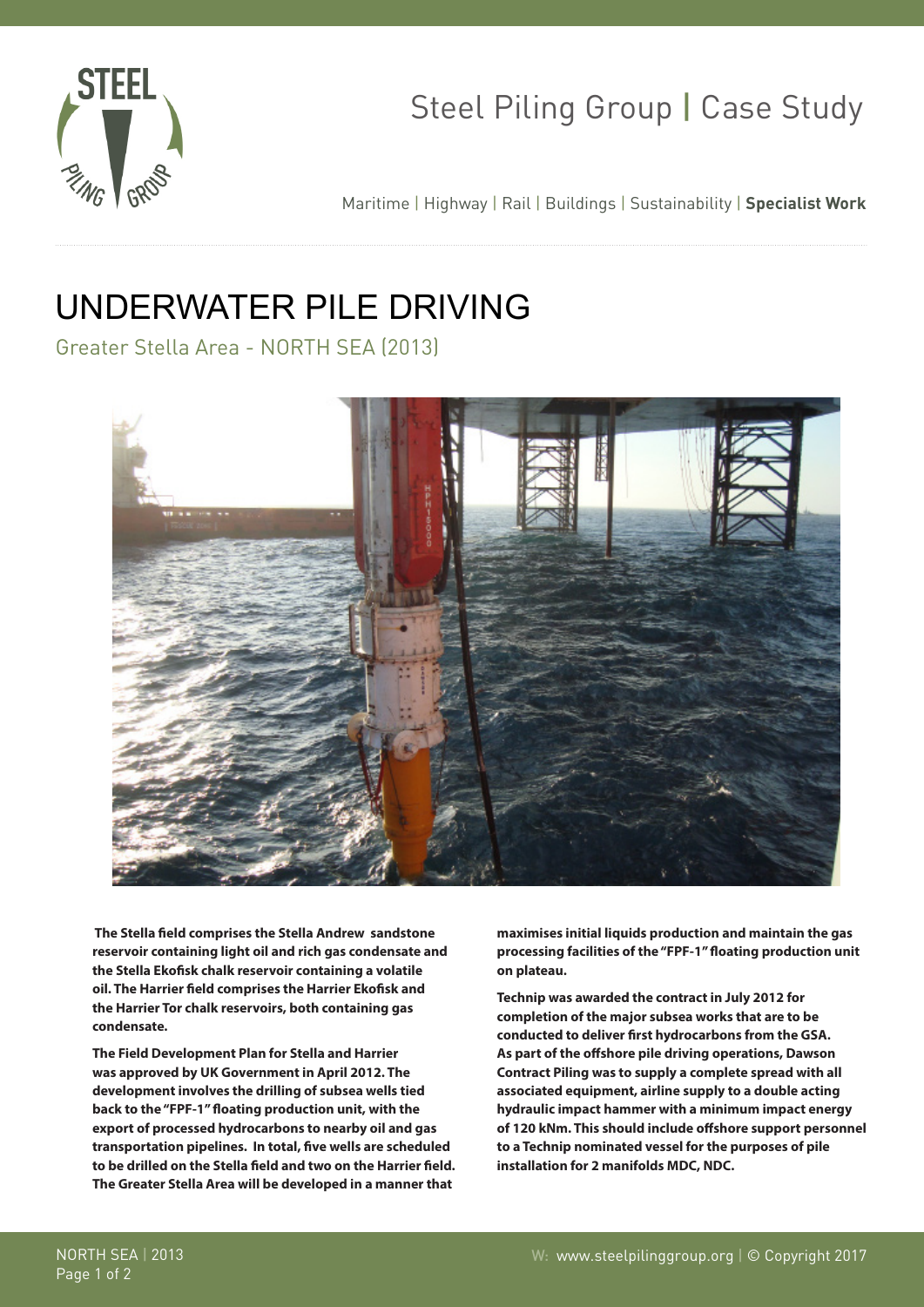

## Steel Piling Group | Case Study

Maritime | Highway | Rail | Buildings | Sustainability | **Specialist Work**

## UNDERWATER PILE DRIVING

Greater Stella Area - NORTH SEA (2013)



 **The Stella field comprises the Stella Andrew sandstone reservoir containing light oil and rich gas condensate and the Stella Ekofisk chalk reservoir containing a volatile oil. The Harrier field comprises the Harrier Ekofisk and the Harrier Tor chalk reservoirs, both containing gas condensate.**

**The Field Development Plan for Stella and Harrier was approved by UK Government in April 2012. The development involves the drilling of subsea wells tied back to the "FPF-1" floating production unit, with the export of processed hydrocarbons to nearby oil and gas transportation pipelines. In total, five wells are scheduled to be drilled on the Stella field and two on the Harrier field. The Greater Stella Area will be developed in a manner that**

**maximises initial liquids production and maintain the gas processing facilities of the "FPF-1" floating production unit on plateau.**

**Technip was awarded the contract in July 2012 for completion of the major subsea works that are to be conducted to deliver first hydrocarbons from the GSA. As part of the offshore pile driving operations, Dawson Contract Piling was to supply a complete spread with all associated equipment, airline supply to a double acting hydraulic impact hammer with a minimum impact energy of 120 kNm. This should include offshore support personnel to a Technip nominated vessel for the purposes of pile installation for 2 manifolds MDC, NDC.**